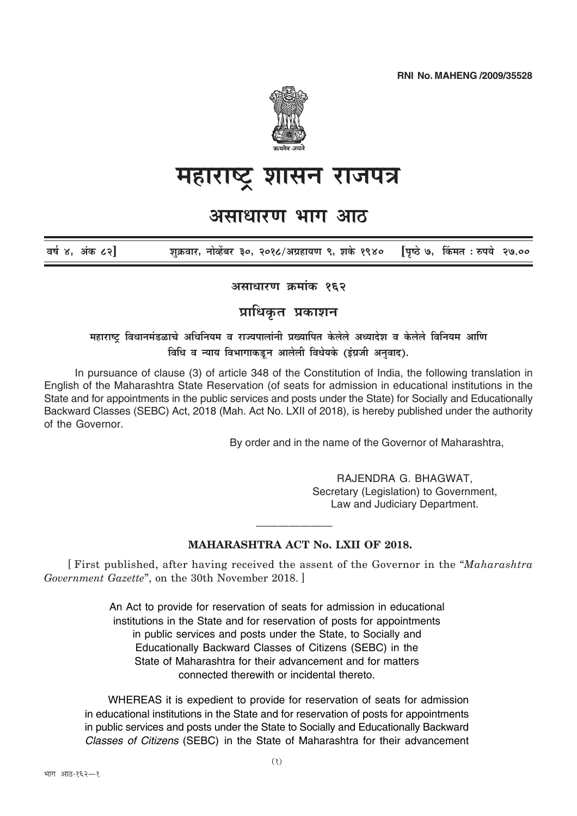**RNI No. MAHENG /2009/35528** 



## महाराष्ट्र शासन राजपत्र

## असाधारण भाग आठ

वर्ष ४. अंक ८२] शक्रवार, नोव्हेंबर ३०, २०१८/अग्रहायण ९, शके १९४० पिष्ठे ७, किंमत : रुपये २७.००

असाधारण कमांक १९२

प्राधिकृत प्रकाशन

महाराष्ट्र विधानमंडळाचे अधिनियम व राज्यपालांनी प्रख्यापित केलेले अध्यादेश व केलेले विनियम आणि विधि व न्याय विभागाकडून आलेली विधेयके (इंग्रजी अनुवाद).

In pursuance of clause (3) of article 348 of the Constitution of India, the following translation in English of the Maharashtra State Reservation (of seats for admission in educational institutions in the State and for appointments in the public services and posts under the State) for Socially and Educationally Backward Classes (SEBC) Act, 2018 (Mah. Act No. LXII of 2018), is hereby published under the authority of the Governor.

By order and in the name of the Governor of Maharashtra.

RAJENDRA G. BHAGWAT, Secretary (Legislation) to Government, Law and Judiciary Department.

## **MAHARASHTRA ACT No. LXII OF 2018.**

[First published, after having received the assent of the Governor in the "Maharashtra" Government Gazette", on the 30th November 2018.

> An Act to provide for reservation of seats for admission in educational institutions in the State and for reservation of posts for appointments in public services and posts under the State, to Socially and Educationally Backward Classes of Citizens (SEBC) in the State of Maharashtra for their advancement and for matters connected therewith or incidental thereto.

WHEREAS it is expedient to provide for reservation of seats for admission in educational institutions in the State and for reservation of posts for appointments in public services and posts under the State to Socially and Educationally Backward Classes of Citizens (SEBC) in the State of Maharashtra for their advancement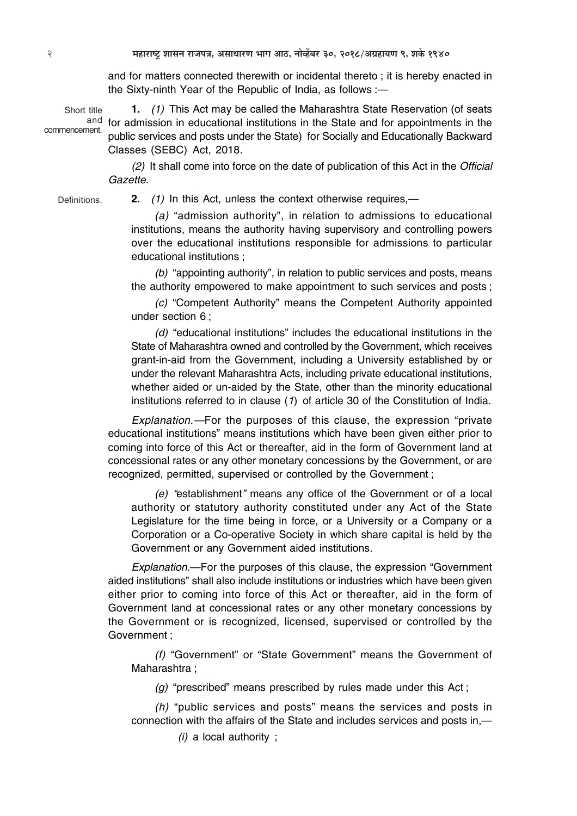and for matters connected therewith or incidental thereto ; it is hereby enacted in the Sixty-ninth Year of the Republic of India, as follows :—

**1.** *(1)* This Act may be called the Maharashtra State Reservation (of seats and for admission in educational institutions in the State and for appointments in the public services and posts under the State) for Socially and Educationally Backward Classes (SEBC) Act, 2018. Short title commencement.

> *(2)* It shall come into force on the date of publication of this Act in the *Official Gazette*.

**Definitions** 

**2.** *(1)* In this Act, unless the context otherwise requires,—

*(a)* "admission authority", in relation to admissions to educational institutions, means the authority having supervisory and controlling powers over the educational institutions responsible for admissions to particular educational institutions ;

*(b)* "appointing authority", in relation to public services and posts, means the authority empowered to make appointment to such services and posts ;

*(c)* "Competent Authority" means the Competent Authority appointed under section 6 ;

*(d)* "educational institutions" includes the educational institutions in the State of Maharashtra owned and controlled by the Government, which receives grant-in-aid from the Government, including a University established by or under the relevant Maharashtra Acts, including private educational institutions, whether aided or un-aided by the State, other than the minority educational institutions referred to in clause (*1*) of article 30 of the Constitution of India.

*Explanation.—*For the purposes of this clause, the expression "private educational institutions" means institutions which have been given either prior to coming into force of this Act or thereafter, aid in the form of Government land at concessional rates or any other monetary concessions by the Government, or are recognized, permitted, supervised or controlled by the Government ;

*(e) "*establishment*"* means any office of the Government or of a local authority or statutory authority constituted under any Act of the State Legislature for the time being in force, or a University or a Company or a Corporation or a Co-operative Society in which share capital is held by the Government or any Government aided institutions.

*Explanation.*—For the purposes of this clause, the expression "Government aided institutions" shall also include institutions or industries which have been given either prior to coming into force of this Act or thereafter, aid in the form of Government land at concessional rates or any other monetary concessions by the Government or is recognized, licensed, supervised or controlled by the Government ;

*(f)* "Government" or "State Government" means the Government of Maharashtra ;

*(g)* "prescribed" means prescribed by rules made under this Act ;

*(h)* "public services and posts" means the services and posts in connection with the affairs of the State and includes services and posts in,—

*(i)* a local authority ;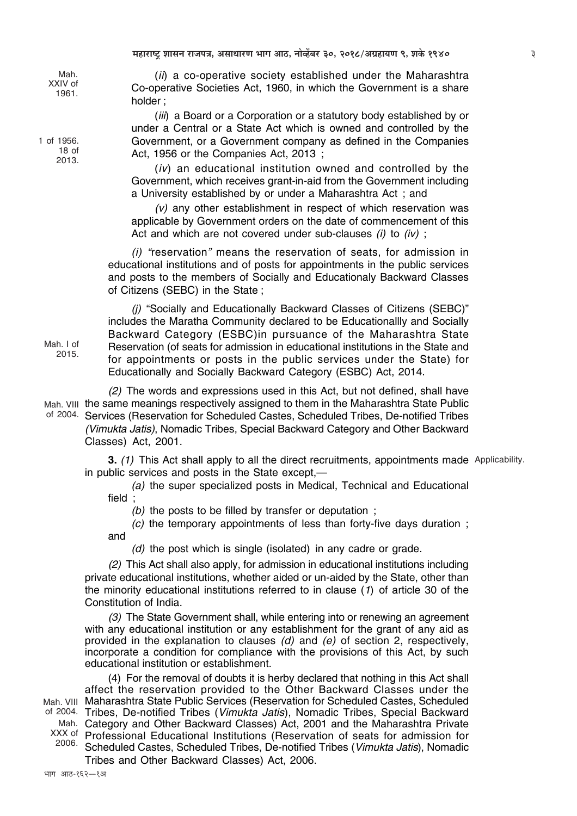Mah. **XXIV** of 1961.

1 of 1956.  $18<sub>of</sub>$ 2013.

 $Mah$  I of

2015.

(ii) a co-operative society established under the Maharashtra Co-operative Societies Act, 1960, in which the Government is a share holder:

(iii) a Board or a Corporation or a statutory body established by or under a Central or a State Act which is owned and controlled by the Government, or a Government company as defined in the Companies Act, 1956 or the Companies Act, 2013;

(iv) an educational institution owned and controlled by the Government, which receives grant-in-aid from the Government including a University established by or under a Maharashtra Act: and

 $(v)$  any other establishment in respect of which reservation was applicable by Government orders on the date of commencement of this Act and which are not covered under sub-clauses (i) to (iv);

(i) "reservation" means the reservation of seats, for admission in educational institutions and of posts for appointments in the public services and posts to the members of Socially and Educationaly Backward Classes of Citizens (SEBC) in the State;

(i) "Socially and Educationally Backward Classes of Citizens (SEBC)" includes the Maratha Community declared to be Educationallly and Socially Backward Category (ESBC) in pursuance of the Maharashtra State Reservation (of seats for admission in educational institutions in the State and for appointments or posts in the public services under the State) for Educationally and Socially Backward Category (ESBC) Act, 2014.

(2) The words and expressions used in this Act, but not defined, shall have Mah. VIII the same meanings respectively assigned to them in the Maharashtra State Public of 2004. Services (Reservation for Scheduled Castes, Scheduled Tribes, De-notified Tribes (Vimukta Jatis), Nomadic Tribes, Special Backward Category and Other Backward Classes) Act, 2001.

> 3. (1) This Act shall apply to all the direct recruitments, appointments made Applicability. in public services and posts in the State except.—

(a) the super specialized posts in Medical, Technical and Educational field:

(b) the posts to be filled by transfer or deputation;

(c) the temporary appointments of less than forty-five days duration; and

(d) the post which is single (isolated) in any cadre or grade.

(2) This Act shall also apply, for admission in educational institutions including private educational institutions, whether aided or un-aided by the State, other than the minority educational institutions referred to in clause (1) of article 30 of the Constitution of India.

(3) The State Government shall, while entering into or renewing an agreement with any educational institution or any establishment for the grant of any aid as provided in the explanation to clauses  $(d)$  and  $(e)$  of section 2, respectively, incorporate a condition for compliance with the provisions of this Act, by such educational institution or establishment.

(4) For the removal of doubts it is herby declared that nothing in this Act shall affect the reservation provided to the Other Backward Classes under the Mah. VIII Maharashtra State Public Services (Reservation for Scheduled Castes, Scheduled of 2004. Tribes, De-notified Tribes (Vimukta Jatis), Nomadic Tribes, Special Backward Category and Other Backward Classes) Act, 2001 and the Maharashtra Private Mah. XXX of Professional Educational Institutions (Reservation of seats for admission for 2006. Scheduled Castes, Scheduled Tribes, De-notified Tribes (Vimukta Jatis), Nomadic Tribes and Other Backward Classes) Act, 2006.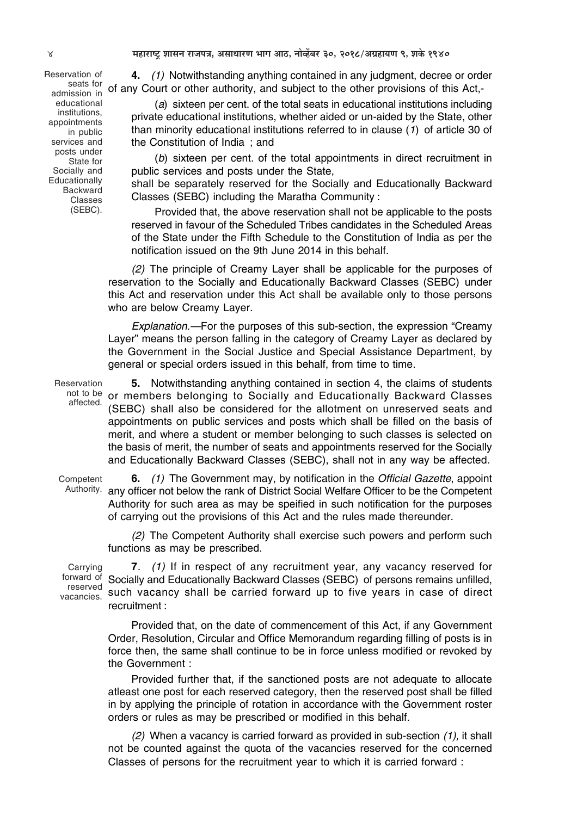Reservation of admission in educational institutions, appointments in public services and posts under State for Socially and **Educationally** Backward Classes (SEBC).

**4.** *(1)* Notwithstanding anything contained in any judgment, decree or order seats for of any Court or other authority, and subject to the other provisions of this Act,-

> (*a*) sixteen per cent. of the total seats in educational institutions including private educational institutions, whether aided or un-aided by the State, other than minority educational institutions referred to in clause (*1*) of article 30 of the Constitution of India ; and

> (*b*) sixteen per cent. of the total appointments in direct recruitment in public services and posts under the State,

> shall be separately reserved for the Socially and Educationally Backward Classes (SEBC) including the Maratha Community :

> Provided that, the above reservation shall not be applicable to the posts reserved in favour of the Scheduled Tribes candidates in the Scheduled Areas of the State under the Fifth Schedule to the Constitution of India as per the notification issued on the 9th June 2014 in this behalf.

*(2)* The principle of Creamy Layer shall be applicable for the purposes of reservation to the Socially and Educationally Backward Classes (SEBC) under this Act and reservation under this Act shall be available only to those persons who are below Creamy Layer.

*Explanation.—*For the purposes of this sub-section, the expression "Creamy Layer" means the person falling in the category of Creamy Layer as declared by the Government in the Social Justice and Special Assistance Department, by general or special orders issued in this behalf, from time to time.

Reservation not to be affected.

**5.** Notwithstanding anything contained in section 4, the claims of students or members belonging to Socially and Educationally Backward Classes (SEBC) shall also be considered for the allotment on unreserved seats and appointments on public services and posts which shall be filled on the basis of merit, and where a student or member belonging to such classes is selected on the basis of merit, the number of seats and appointments reserved for the Socially and Educationally Backward Classes (SEBC), shall not in any way be affected.

Competent

**6.** *(1)* The Government may, by notification in the *Official Gazette*, appoint Authority. any officer not below the rank of District Social Welfare Officer to be the Competent Authority for such area as may be speified in such notification for the purposes of carrying out the provisions of this Act and the rules made thereunder.

*(2)* The Competent Authority shall exercise such powers and perform such functions as may be prescribed.

Carrying forward of reserved vacancies.

**7**. *(1)* If in respect of any recruitment year, any vacancy reserved for Socially and Educationally Backward Classes (SEBC) of persons remains unfilled, such vacancy shall be carried forward up to five years in case of direct recruitment :

Provided that, on the date of commencement of this Act, if any Government Order, Resolution, Circular and Office Memorandum regarding filling of posts is in force then, the same shall continue to be in force unless modified or revoked by the Government :

Provided further that, if the sanctioned posts are not adequate to allocate atleast one post for each reserved category, then the reserved post shall be filled in by applying the principle of rotation in accordance with the Government roster orders or rules as may be prescribed or modified in this behalf.

*(2)* When a vacancy is carried forward as provided in sub-section *(1),* it shall not be counted against the quota of the vacancies reserved for the concerned Classes of persons for the recruitment year to which it is carried forward :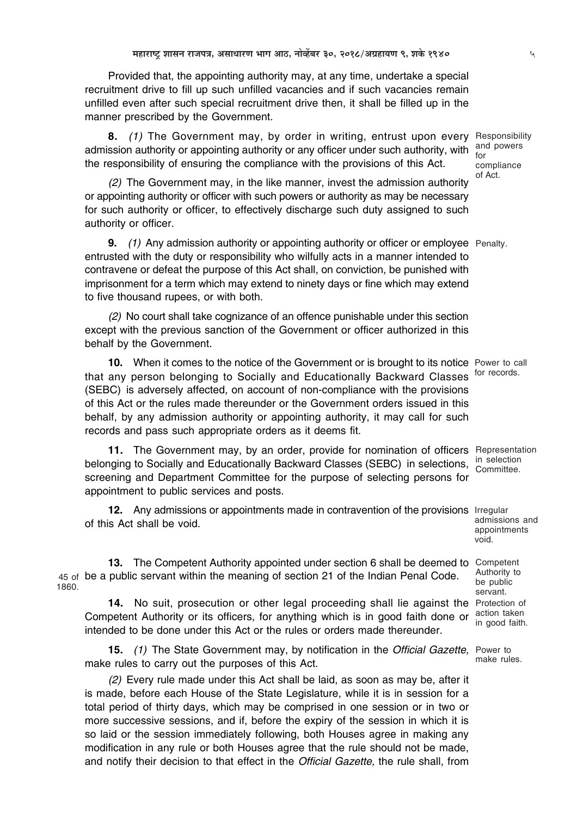Provided that, the appointing authority may, at any time, undertake a special recruitment drive to fill up such unfilled vacancies and if such vacancies remain unfilled even after such special recruitment drive then, it shall be filled up in the manner prescribed by the Government.

**8.** *(1)* The Government may, by order in writing, entrust upon every Responsibility admission authority or appointing authority or any officer under such authority, with the responsibility of ensuring the compliance with the provisions of this Act.

*(2)* The Government may, in the like manner, invest the admission authority or appointing authority or officer with such powers or authority as may be necessary for such authority or officer, to effectively discharge such duty assigned to such authority or officer.

**9.** *(1)* Any admission authority or appointing authority or officer or employee Penalty. entrusted with the duty or responsibility who wilfully acts in a manner intended to contravene or defeat the purpose of this Act shall, on conviction, be punished with imprisonment for a term which may extend to ninety days or fine which may extend to five thousand rupees, or with both.

*(2)* No court shall take cognizance of an offence punishable under this section except with the previous sanction of the Government or officer authorized in this behalf by the Government.

**10.** When it comes to the notice of the Government or is brought to its notice Power to call that any person belonging to Socially and Educationally Backward Classes <sup>for records.</sup> (SEBC) is adversely affected, on account of non-compliance with the provisions of this Act or the rules made thereunder or the Government orders issued in this behalf, by any admission authority or appointing authority, it may call for such records and pass such appropriate orders as it deems fit.

11. The Government may, by an order, provide for nomination of officers Representation belonging to Socially and Educationally Backward Classes (SEBC) in selections, screening and Department Committee for the purpose of selecting persons for appointment to public services and posts.

12. Any admissions or appointments made in contravention of the provisions Irregular of this Act shall be void.

**13.** The Competent Authority appointed under section 6 shall be deemed to Competent 45 of be a public servant within the meaning of section 21 of the Indian Penal Code. 1860.

14. No suit, prosecution or other legal proceeding shall lie against the Protection of Competent Authority or its officers, for anything which is in good faith done or intended to be done under this Act or the rules or orders made thereunder.

**15.** *(1)* The State Government may, by notification in the *Official Gazette,* Power to make rules to carry out the purposes of this Act.

*(2)* Every rule made under this Act shall be laid, as soon as may be, after it is made, before each House of the State Legislature, while it is in session for a total period of thirty days, which may be comprised in one session or in two or more successive sessions, and if, before the expiry of the session in which it is so laid or the session immediately following, both Houses agree in making any modification in any rule or both Houses agree that the rule should not be made, and notify their decision to that effect in the *Official Gazette,* the rule shall, from

and powers for compliance of Act.

in selection Committee.

admissions and appointments void.

Authority to be public servant. action taken in good faith.

make rules.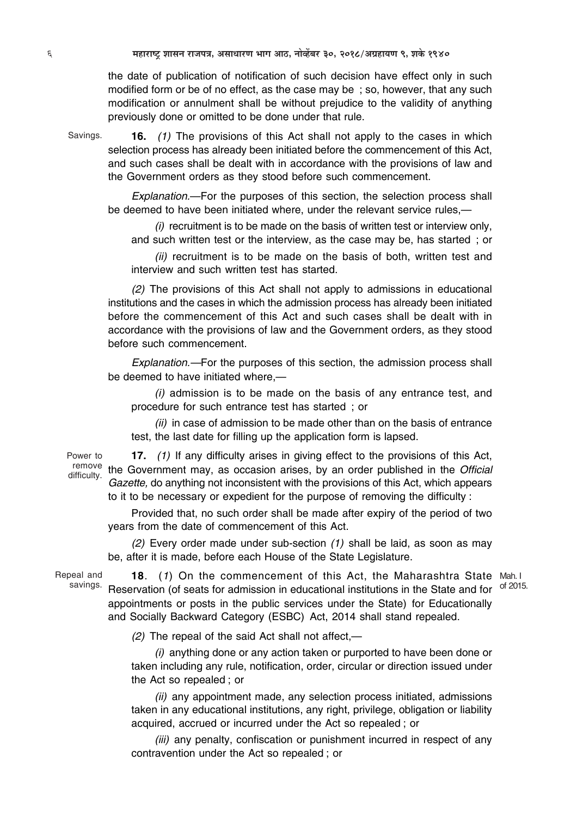the date of publication of notification of such decision have effect only in such modified form or be of no effect, as the case may be ; so, however, that any such modification or annulment shall be without prejudice to the validity of anything previously done or omitted to be done under that rule.

Savings.

**16.** *(1)* The provisions of this Act shall not apply to the cases in which selection process has already been initiated before the commencement of this Act, and such cases shall be dealt with in accordance with the provisions of law and the Government orders as they stood before such commencement.

*Explanation.*—For the purposes of this section, the selection process shall be deemed to have been initiated where, under the relevant service rules,—

*(i)* recruitment is to be made on the basis of written test or interview only, and such written test or the interview, as the case may be, has started ; or

*(ii)* recruitment is to be made on the basis of both, written test and interview and such written test has started.

*(2)* The provisions of this Act shall not apply to admissions in educational institutions and the cases in which the admission process has already been initiated before the commencement of this Act and such cases shall be dealt with in accordance with the provisions of law and the Government orders, as they stood before such commencement.

*Explanation.—*For the purposes of this section, the admission process shall be deemed to have initiated where,—

*(i)* admission is to be made on the basis of any entrance test, and procedure for such entrance test has started ; or

*(ii)* in case of admission to be made other than on the basis of entrance test, the last date for filling up the application form is lapsed.

Power to difficulty.

**17.** *(1)* If any difficulty arises in giving effect to the provisions of this Act, remove the Government may, as occasion arises, by an order published in the *Official Gazette,* do anything not inconsistent with the provisions of this Act, which appears to it to be necessary or expedient for the purpose of removing the difficulty :

Provided that, no such order shall be made after expiry of the period of two years from the date of commencement of this Act.

*(2)* Every order made under sub-section *(1)* shall be laid, as soon as may be, after it is made, before each House of the State Legislature.

Repeal and savings.

**18**. (*1*) On the commencement of this Act, the Maharashtra State Mah. I Reservation (of seats for admission in educational institutions in the State and for <sup>of 2015.</sup> appointments or posts in the public services under the State) for Educationally and Socially Backward Category (ESBC) Act, 2014 shall stand repealed.

*(2)* The repeal of the said Act shall not affect,—

*(i)* anything done or any action taken or purported to have been done or taken including any rule, notification, order, circular or direction issued under the Act so repealed ; or

*(ii)* any appointment made, any selection process initiated, admissions taken in any educational institutions, any right, privilege, obligation or liability acquired, accrued or incurred under the Act so repealed ; or

*(iii)* any penalty, confiscation or punishment incurred in respect of any contravention under the Act so repealed ; or